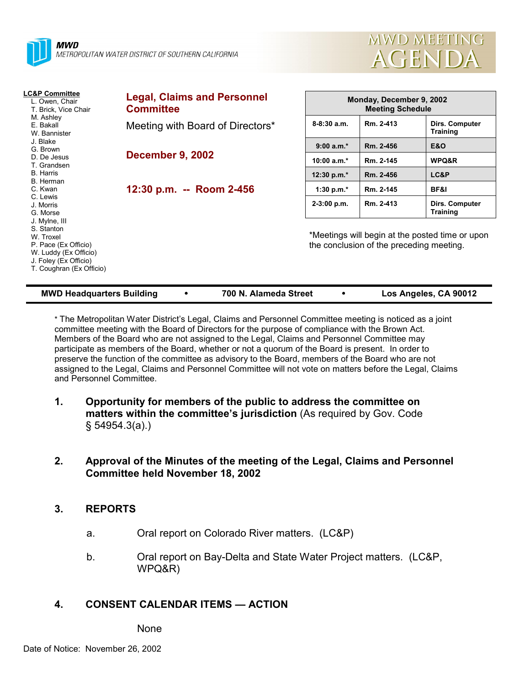



| <b>LC&amp;P Committee</b><br>L. Owen, Chair<br>T. Brick, Vice Chair<br>M. Ashley<br>E. Bakall<br>W. Bannister<br>J. Blake<br>G. Brown<br>D. De Jesus<br>T. Grandsen<br><b>B.</b> Harris<br>B. Herman<br>C. Kwan<br>C. Lewis<br>J. Morris<br>G. Morse<br>J. Mylne, III<br>S. Stanton<br>W. Troxel<br>P. Pace (Ex Officio)<br>W. Luddy (Ex Officio)<br>J. Foley (Ex Officio)<br>T. Coughran (Ex Officio) | <b>Legal, Claims and Personnel</b><br><b>Committee</b> | Monday, December 9, 2002<br><b>Meeting Schedule</b>                                         |           |                                   |
|--------------------------------------------------------------------------------------------------------------------------------------------------------------------------------------------------------------------------------------------------------------------------------------------------------------------------------------------------------------------------------------------------------|--------------------------------------------------------|---------------------------------------------------------------------------------------------|-----------|-----------------------------------|
|                                                                                                                                                                                                                                                                                                                                                                                                        | Meeting with Board of Directors*                       | $8 - 8:30$ a.m.                                                                             | Rm. 2-413 | Dirs. Computer<br><b>Training</b> |
|                                                                                                                                                                                                                                                                                                                                                                                                        |                                                        | $9:00 a.m.*$                                                                                | Rm. 2-456 | <b>E&amp;O</b>                    |
|                                                                                                                                                                                                                                                                                                                                                                                                        | <b>December 9, 2002</b>                                | 10:00 $a.m.*$                                                                               | Rm. 2-145 | WPQ&R                             |
|                                                                                                                                                                                                                                                                                                                                                                                                        |                                                        | 12:30 p.m. $*$                                                                              | Rm. 2-456 | LC&P                              |
|                                                                                                                                                                                                                                                                                                                                                                                                        | 12:30 p.m. -- Room 2-456                               | 1:30 p.m. $*$                                                                               | Rm. 2-145 | <b>BF&amp;I</b>                   |
|                                                                                                                                                                                                                                                                                                                                                                                                        |                                                        | $2-3:00$ p.m.                                                                               | Rm. 2-413 | Dirs. Computer<br><b>Training</b> |
|                                                                                                                                                                                                                                                                                                                                                                                                        |                                                        | *Meetings will begin at the posted time or upon<br>the conclusion of the preceding meeting. |           |                                   |

| <b>MWD Headquarters Building</b> | 700 N. Alameda Street | Los Angeles, CA 90012 |
|----------------------------------|-----------------------|-----------------------|
|                                  |                       |                       |

\* The Metropolitan Water Districtís Legal, Claims and Personnel Committee meeting is noticed as a joint committee meeting with the Board of Directors for the purpose of compliance with the Brown Act. Members of the Board who are not assigned to the Legal, Claims and Personnel Committee may participate as members of the Board, whether or not a quorum of the Board is present. In order to preserve the function of the committee as advisory to the Board, members of the Board who are not assigned to the Legal, Claims and Personnel Committee will not vote on matters before the Legal, Claims and Personnel Committee.

- **1. Opportunity for members of the public to address the committee on** matters within the committee's jurisdiction (As required by Gov. Code ß 54954.3(a).)
- **2. Approval of the Minutes of the meeting of the Legal, Claims and Personnel Committee held November 18, 2002**

# **3. REPORTS**

- a. Oral report on Colorado River matters. (LC&P)
- b. Oral report on Bay-Delta and State Water Project matters. (LC&P, WPQ&R)

# **4. CONSENT CALENDAR ITEMS — ACTION**

**None**